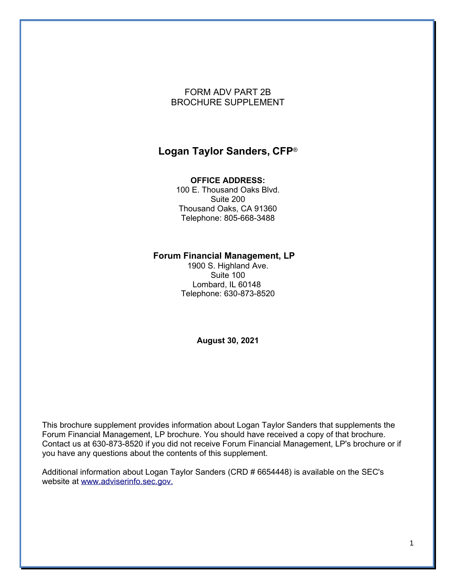### FORM ADV PART 2B BROCHURE SUPPLEMENT

### **Logan Taylor Sanders, CFP**®

#### **OFFICE ADDRESS:**

100 E. Thousand Oaks Blvd. Suite 200 Thousand Oaks, CA 91360 Telephone: 805-668-3488

#### **Forum Financial Management, LP**

1900 S. Highland Ave. Suite 100 Lombard, IL 60148 Telephone: 630-873-8520

**August 30, 2021**

This brochure supplement provides information about Logan Taylor Sanders that supplements the Forum Financial Management, LP brochure. You should have received a copy of that brochure. Contact us at 630-873-8520 if you did not receive Forum Financial Management, LP's brochure or if you have any questions about the contents of this supplement.

Additional information about Logan Taylor Sanders (CRD # 6654448) is available on the SEC's website at [www.adviserinfo.sec.gov.](http://www.adviserinfo.sec.gov./)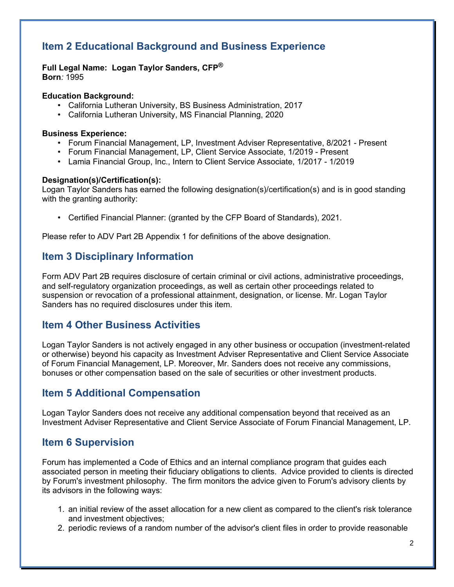# **Item 2 Educational Background and Business Experience**

**Full Legal Name: Logan Taylor Sanders, CFP® Born***:* 1995

#### **Education Background:**

- California Lutheran University, BS Business Administration, 2017
- California Lutheran University, MS Financial Planning, 2020

#### **Business Experience:**

- Forum Financial Management, LP, Investment Adviser Representative, 8/2021 Present
- Forum Financial Management, LP, Client Service Associate, 1/2019 Present
- Lamia Financial Group, Inc., Intern to Client Service Associate, 1/2017 1/2019

#### **Designation(s)/Certification(s):**

Logan Taylor Sanders has earned the following designation(s)/certification(s) and is in good standing with the granting authority:

• Certified Financial Planner: (granted by the CFP Board of Standards), 2021.

Please refer to ADV Part 2B Appendix 1 for definitions of the above designation.

# **Item 3 Disciplinary Information**

Form ADV Part 2B requires disclosure of certain criminal or civil actions, administrative proceedings, and self-regulatory organization proceedings, as well as certain other proceedings related to suspension or revocation of a professional attainment, designation, or license. Mr. Logan Taylor Sanders has no required disclosures under this item.

### **Item 4 Other Business Activities**

Logan Taylor Sanders is not actively engaged in any other business or occupation (investment-related or otherwise) beyond his capacity as Investment Adviser Representative and Client Service Associate of Forum Financial Management, LP. Moreover, Mr. Sanders does not receive any commissions, bonuses or other compensation based on the sale of securities or other investment products.

### **Item 5 Additional Compensation**

Logan Taylor Sanders does not receive any additional compensation beyond that received as an Investment Adviser Representative and Client Service Associate of Forum Financial Management, LP.

### **Item 6 Supervision**

Forum has implemented a Code of Ethics and an internal compliance program that guides each associated person in meeting their fiduciary obligations to clients. Advice provided to clients is directed by Forum's investment philosophy. The firm monitors the advice given to Forum's advisory clients by its advisors in the following ways:

- 1. an initial review of the asset allocation for a new client as compared to the client's risk tolerance and investment objectives;
- 2. periodic reviews of a random number of the advisor's client files in order to provide reasonable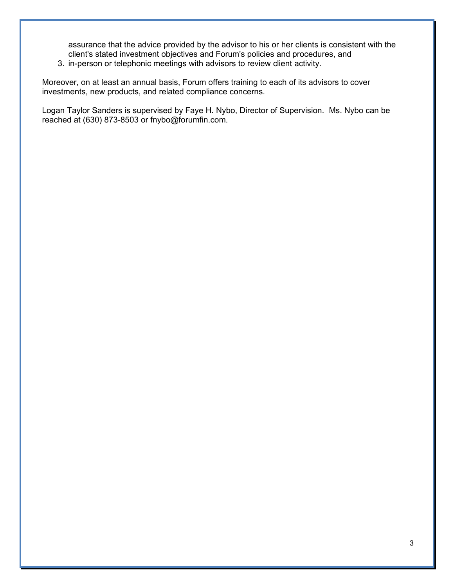assurance that the advice provided by the advisor to his or her clients is consistent with the client's stated investment objectives and Forum's policies and procedures, and

3. in-person or telephonic meetings with advisors to review client activity.

Moreover, on at least an annual basis, Forum offers training to each of its advisors to cover investments, new products, and related compliance concerns.

Logan Taylor Sanders is supervised by Faye H. Nybo, Director of Supervision. Ms. Nybo can be reached at (630) 873-8503 or fnybo@forumfin.com.